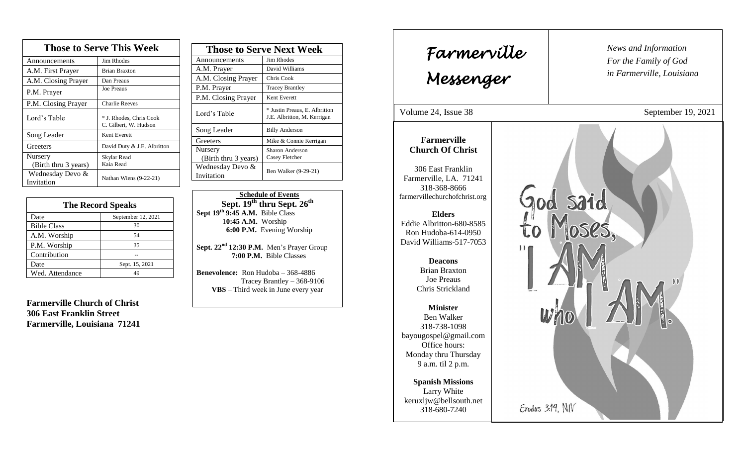| <b>Those to Serve This Week</b> |                                                  |  |
|---------------------------------|--------------------------------------------------|--|
| Announcements                   | Jim Rhodes                                       |  |
| A.M. First Prayer               | <b>Brian Braxton</b>                             |  |
| A.M. Closing Prayer             | Dan Preaus                                       |  |
| P.M. Prayer                     | <b>Joe Preaus</b>                                |  |
| P.M. Closing Prayer             | <b>Charlie Reeves</b>                            |  |
| Lord's Table                    | * J. Rhodes, Chris Cook<br>C. Gilbert, W. Hudson |  |
| Song Leader                     | Kent Everett                                     |  |
| Greeters                        | David Duty & J.E. Albritton                      |  |
| Nursery<br>(Birth thru 3 years) | Skylar Read<br>Kaia Read                         |  |
| Wednesday Devo &<br>Invitation  | Nathan Wiens (9-22-21)                           |  |

| <b>The Record Speaks</b> |                    |
|--------------------------|--------------------|
| Date                     | September 12, 2021 |
| <b>Bible Class</b>       | 30                 |
| A.M. Worship             | 54                 |
| P.M. Worship             | 35                 |
| Contribution             |                    |
| Date                     | Sept. 15, 2021     |
| Wed. Attendance          |                    |

**Farmerville Church of Christ 306 East Franklin Street Farmerville, Louisiana 71241**

| <b>Those to Serve Next Week</b> |                                                              |
|---------------------------------|--------------------------------------------------------------|
| Announcements                   | <b>Jim Rhodes</b>                                            |
| A.M. Prayer                     | David Williams                                               |
| A.M. Closing Prayer             | Chris Cook                                                   |
| P.M. Prayer                     | <b>Tracey Brantley</b>                                       |
| P.M. Closing Prayer             | Kent Everett                                                 |
| Lord's Table                    | * Justin Preaus, E. Albritton<br>J.E. Albritton, M. Kerrigan |
| Song Leader                     | <b>Billy Anderson</b>                                        |
| Greeters                        | Mike & Connie Kerrigan                                       |
| Nursery                         | Sharon Anderson                                              |
| (Birth thru 3 years)            | Casey Fletcher                                               |
| Wednesday Devo &                | Ben Walker (9-29-21)                                         |
| Invitation                      |                                                              |

 **Schedule of Events Sept. 19 th thru Sept. 26th Sept 19 th 9:45 A.M.** Bible Class 1**0:45 A.M.** Worship  **6:00 P.M.** Evening Worship

**Sept. 22nd 12:30 P.M.** Men's Prayer Group **7:00 P.M.** Bible Classes

**Benevolence:** Ron Hudoba – 368-4886 Tracey Brantley – 368-9106 **VBS** – Third week in June every year